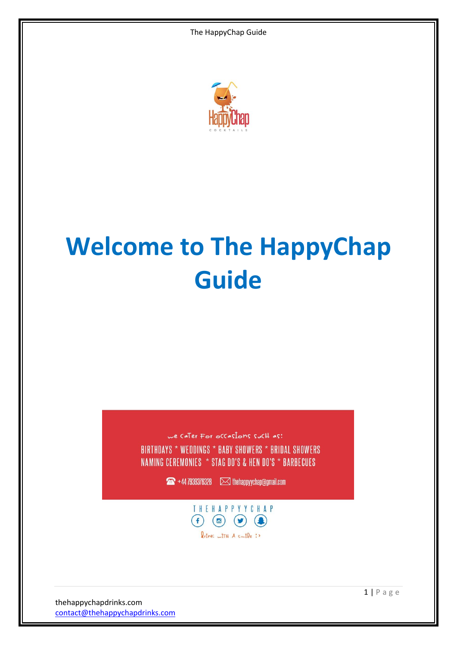

# **Welcome to The HappyChap Guide**

we cater For occasions such as: BIRTHDAYS \* WEDDINGS \* BABY SHOWERS \* BRIDAL SHOWERS NAMING CEREMONIES \* STAG DO'S & HEN DO'S \* BARBECUES

 $\sqrt{44}$  +44 7939376328  $\sqrt{2}$  the happy ychap @gmail.com



thehappychapdrinks.com [contact@thehappychapdrinks.com](mailto:contact@thehappychapdrinks.com)  $1 | P$  a g e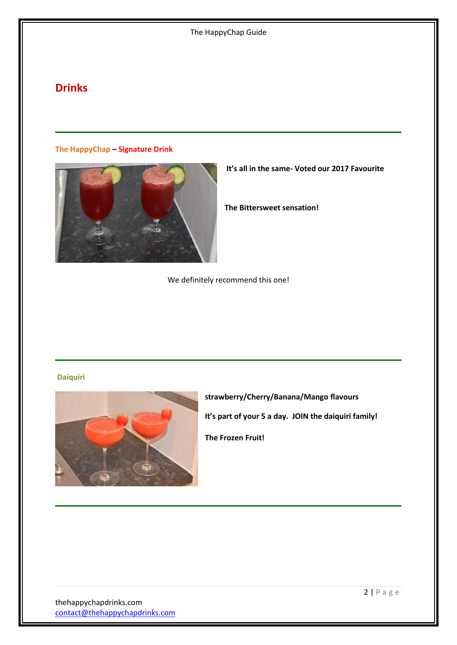# **Drinks**

**The HappyChap – Signature Drink**



**It's all in the same- Voted our 2017 Favourite** 

**The Bittersweet sensation!** 

We definitely recommend this one!

#### **Daiquiri**



**Strawberry/Cherry/Banana/Mango flavours It's part of your 5 a day. JOIN the daiquiri family!**

**The Frozen Fruit!**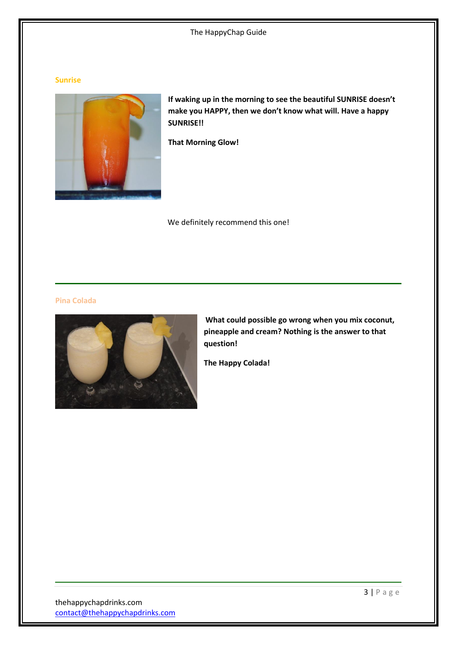#### **Sunrise**



**If waking up in the morning to see the beautiful SUNRISE doesn't make you HAPPY, then we don't know what will. Have a happy SUNRISE!!**

**That Morning Glow!**

We definitely recommend this one!

#### **Pina Colada**



**What could possible go wrong when you mix coconut, pineapple and cream? Nothing is the answer to that question!**

**The Happy Colada!**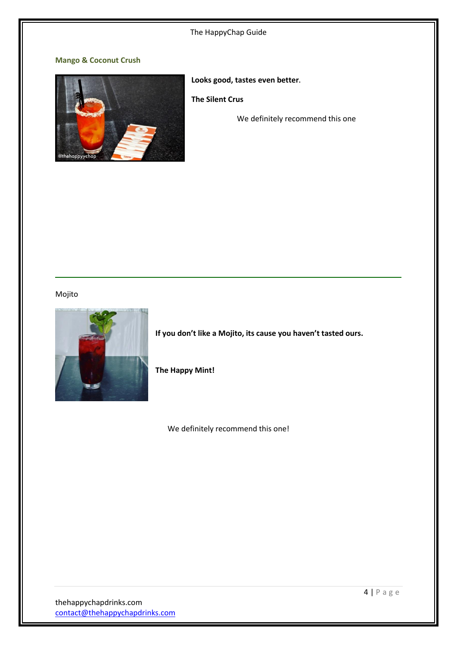### **Mango & Coconut Crush**



**Looks good, tastes even better.**

**The Silent Crus**

We definitely recommend this one

# Mojito



**If you don't like a Mojito, its cause you haven't tasted ours.**

**The Happy Mint!**

We definitely recommend this one!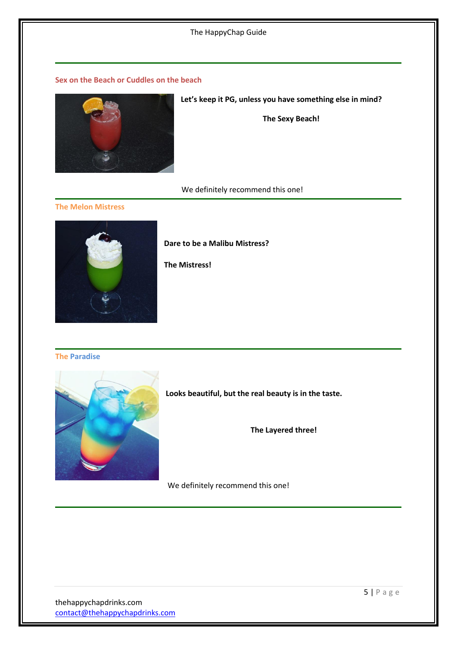#### **Sex on the Beach or Cuddles on the beach**



#### **Let's keep it PG, unless you have something else in mind?**

**The Sexy Beach!**

We definitely recommend this one!

#### **The Melon Mistress**



**Dare to be a Malibu Mistress?**

**The Mistress!**

#### **The Paradise**



**Looks beautiful, but the real beauty is in the taste.**

**The Layered three!**

We definitely recommend this one!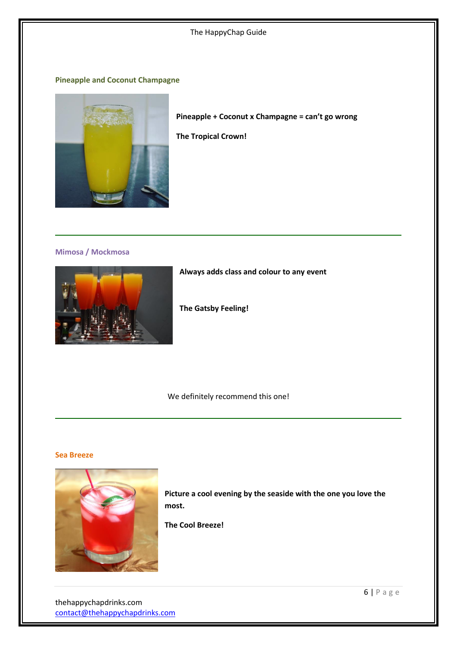**Pineapple and Coconut Champagne**



**Pineapple + Coconut x Champagne = can't go wrong**

**The Tropical Crown!**

**Mimosa / Mockmosa**



**Always adds class and colour to any event**

**The Gatsby Feeling!**

We definitely recommend this one!

#### **Sea Breeze**



**Picture a cool evening by the seaside with the one you love the most.**

**The Cool Breeze!**

thehappychapdrinks.com [contact@thehappychapdrinks.com](mailto:contact@thehappychapdrinks.com)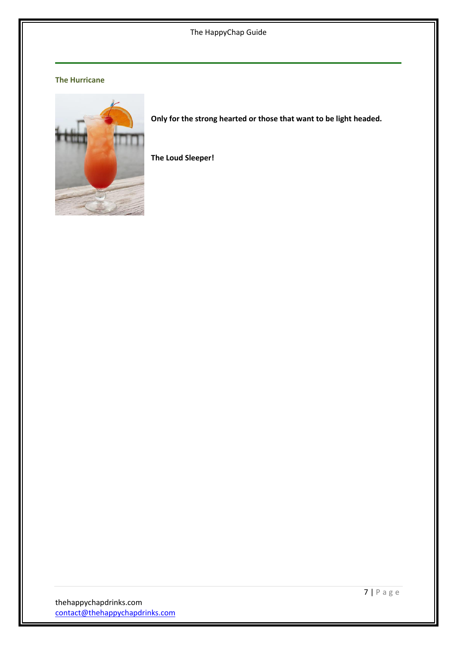## **The Hurricane**



**Only for the strong hearted or those that want to be light headed.**

**The Loud Sleeper!**